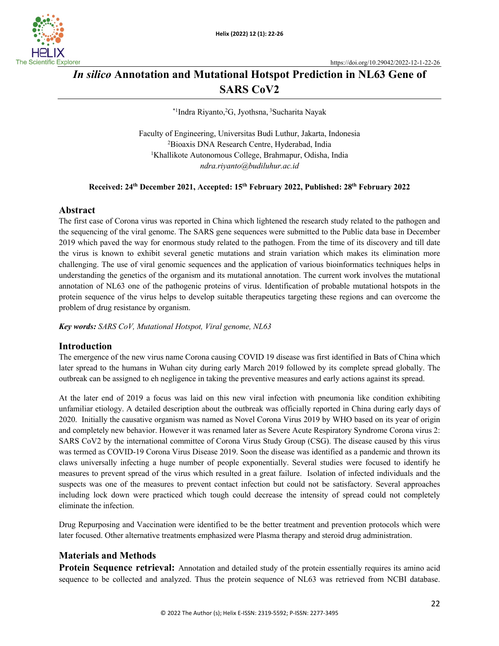

# *In silico* **Annotation and Mutational Hotspot Prediction in NL63 Gene of SARS CoV2**

\*1 Indra Riyanto, 2 G, Jyothsna, <sup>3</sup> Sucharita Nayak

Faculty of Engineering, Universitas Budi Luthur, Jakarta, Indonesia 2 Bioaxis DNA Research Centre, Hyderabad, India 1 Khallikote Autonomous College, Brahmapur, Odisha, India *ndra.riyanto@budiluhur.ac.id*

# **Received: 24th December 2021, Accepted: 15th February 2022, Published: 28th February 2022**

## **Abstract**

The first case of Corona virus was reported in China which lightened the research study related to the pathogen and the sequencing of the viral genome. The SARS gene sequences were submitted to the Public data base in December 2019 which paved the way for enormous study related to the pathogen. From the time of its discovery and till date the virus is known to exhibit several genetic mutations and strain variation which makes its elimination more challenging. The use of viral genomic sequences and the application of various bioinformatics techniques helps in understanding the genetics of the organism and its mutational annotation. The current work involves the mutational annotation of NL63 one of the pathogenic proteins of virus. Identification of probable mutational hotspots in the protein sequence of the virus helps to develop suitable therapeutics targeting these regions and can overcome the problem of drug resistance by organism.

*Key words: SARS CoV, Mutational Hotspot, Viral genome, NL63*

### **Introduction**

The emergence of the new virus name Corona causing COVID 19 disease was first identified in Bats of China which later spread to the humans in Wuhan city during early March 2019 followed by its complete spread globally. The outbreak can be assigned to eh negligence in taking the preventive measures and early actions against its spread.

At the later end of 2019 a focus was laid on this new viral infection with pneumonia like condition exhibiting unfamiliar etiology. A detailed description about the outbreak was officially reported in China during early days of 2020. Initially the causative organism was named as Novel Corona Virus 2019 by WHO based on its year of origin and completely new behavior. However it was renamed later as Severe Acute Respiratory Syndrome Corona virus 2: SARS CoV2 by the international committee of Corona Virus Study Group (CSG). The disease caused by this virus was termed as COVID-19 Corona Virus Disease 2019. Soon the disease was identified as a pandemic and thrown its claws universally infecting a huge number of people exponentially. Several studies were focused to identify he measures to prevent spread of the virus which resulted in a great failure. Isolation of infected individuals and the suspects was one of the measures to prevent contact infection but could not be satisfactory. Several approaches including lock down were practiced which tough could decrease the intensity of spread could not completely eliminate the infection.

Drug Repurposing and Vaccination were identified to be the better treatment and prevention protocols which were later focused. Other alternative treatments emphasized were Plasma therapy and steroid drug administration.

# **Materials and Methods**

**Protein Sequence retrieval:** Annotation and detailed study of the protein essentially requires its amino acid sequence to be collected and analyzed. Thus the protein sequence of NL63 was retrieved from NCBI database.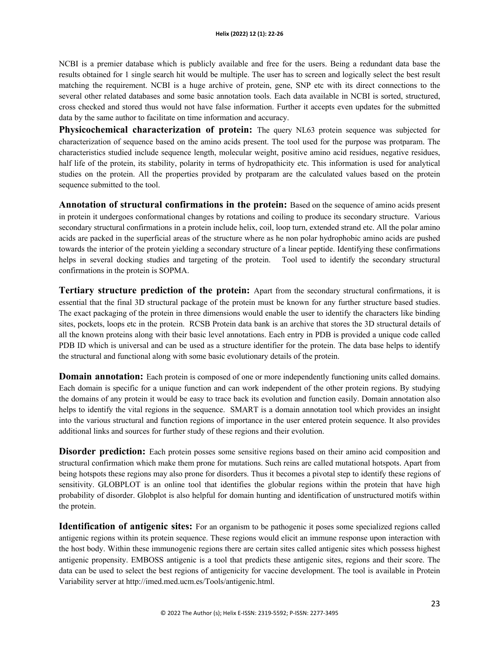NCBI is a premier database which is publicly available and free for the users. Being a redundant data base the results obtained for 1 single search hit would be multiple. The user has to screen and logically select the best result matching the requirement. NCBI is a huge archive of protein, gene, SNP etc with its direct connections to the several other related databases and some basic annotation tools. Each data available in NCBI is sorted, structured, cross checked and stored thus would not have false information. Further it accepts even updates for the submitted data by the same author to facilitate on time information and accuracy.

**Physicochemical characterization of protein:** The query NL63 protein sequence was subjected for characterization of sequence based on the amino acids present. The tool used for the purpose was protparam. The characteristics studied include sequence length, molecular weight, positive amino acid residues, negative residues, half life of the protein, its stability, polarity in terms of hydropathicity etc. This information is used for analytical studies on the protein. All the properties provided by protparam are the calculated values based on the protein sequence submitted to the tool.

**Annotation of structural confirmations in the protein:** Based on the sequence of amino acids present in protein it undergoes conformational changes by rotations and coiling to produce its secondary structure. Various secondary structural confirmations in a protein include helix, coil, loop turn, extended strand etc. All the polar amino acids are packed in the superficial areas of the structure where as he non polar hydrophobic amino acids are pushed towards the interior of the protein yielding a secondary structure of a linear peptide. Identifying these confirmations helps in several docking studies and targeting of the protein. Tool used to identify the secondary structural confirmations in the protein is SOPMA.

**Tertiary structure prediction of the protein:** Apart from the secondary structural confirmations, it is essential that the final 3D structural package of the protein must be known for any further structure based studies. The exact packaging of the protein in three dimensions would enable the user to identify the characters like binding sites, pockets, loops etc in the protein. RCSB Protein data bank is an archive that stores the 3D structural details of all the known proteins along with their basic level annotations. Each entry in PDB is provided a unique code called PDB ID which is universal and can be used as a structure identifier for the protein. The data base helps to identify the structural and functional along with some basic evolutionary details of the protein.

**Domain annotation:** Each protein is composed of one or more independently functioning units called domains. Each domain is specific for a unique function and can work independent of the other protein regions. By studying the domains of any protein it would be easy to trace back its evolution and function easily. Domain annotation also helps to identify the vital regions in the sequence. SMART is a domain annotation tool which provides an insight into the various structural and function regions of importance in the user entered protein sequence. It also provides additional links and sources for further study of these regions and their evolution.

**Disorder prediction:** Each protein posses some sensitive regions based on their amino acid composition and structural confirmation which make them prone for mutations. Such reins are called mutational hotspots. Apart from being hotspots these regions may also prone for disorders. Thus it becomes a pivotal step to identify these regions of sensitivity. GLOBPLOT is an online tool that identifies the globular regions within the protein that have high probability of disorder. Globplot is also helpful for domain hunting and identification of unstructured motifs within the protein.

**Identification of antigenic sites:** For an organism to be pathogenic it poses some specialized regions called antigenic regions within its protein sequence. These regions would elicit an immune response upon interaction with the host body. Within these immunogenic regions there are certain sites called antigenic sites which possess highest antigenic propensity. EMBOSS antigenic is a tool that predicts these antigenic sites, regions and their score. The data can be used to select the best regions of antigenicity for vaccine development. The tool is available in Protein Variability server at http://imed.med.ucm.es/Tools/antigenic.html.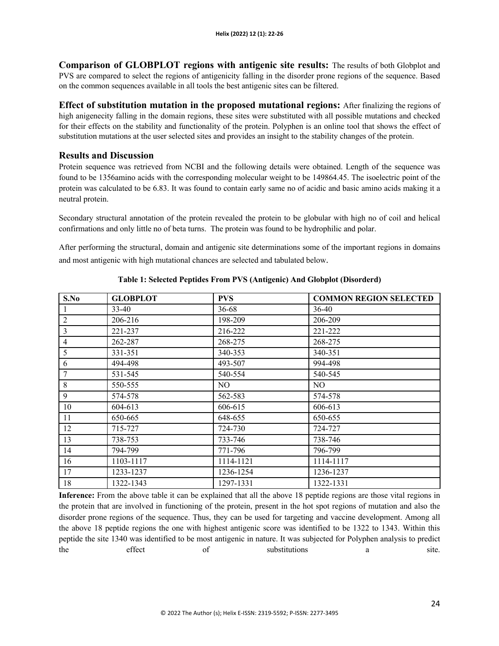**Comparison of GLOBPLOT regions with antigenic site results:** The results of both Globplot and PVS are compared to select the regions of antigenicity falling in the disorder prone regions of the sequence. Based on the common sequences available in all tools the best antigenic sites can be filtered.

**Effect of substitution mutation in the proposed mutational regions:** After finalizing the regions of high anigenecity falling in the domain regions, these sites were substituted with all possible mutations and checked for their effects on the stability and functionality of the protein. Polyphen is an online tool that shows the effect of substitution mutations at the user selected sites and provides an insight to the stability changes of the protein.

## **Results and Discussion**

Protein sequence was retrieved from NCBI and the following details were obtained. Length of the sequence was found to be 1356amino acids with the corresponding molecular weight to be 149864.45. The isoelectric point of the protein was calculated to be 6.83. It was found to contain early same no of acidic and basic amino acids making it a neutral protein.

Secondary structural annotation of the protein revealed the protein to be globular with high no of coil and helical confirmations and only little no of beta turns. The protein was found to be hydrophilic and polar.

After performing the structural, domain and antigenic site determinations some of the important regions in domains and most antigenic with high mutational chances are selected and tabulated below.

| S.No           | <b>GLOBPLOT</b> | <b>PVS</b> | <b>COMMON REGION SELECTED</b> |  |
|----------------|-----------------|------------|-------------------------------|--|
|                | $33 - 40$       | 36-68      | 36-40                         |  |
| $\overline{2}$ | 206-216         | 198-209    | 206-209                       |  |
| 3              | 221-237         | 216-222    | 221-222                       |  |
| $\overline{4}$ | 262-287         | 268-275    | 268-275                       |  |
| 5              | 331-351         | 340-353    | 340-351                       |  |
| 6              | 494-498         | 493-507    | 994-498                       |  |
| 7              | 531-545         | 540-554    | 540-545                       |  |
| $\,8\,$        | 550-555         | NO.        | NO.                           |  |
| 9              | 574-578         | 562-583    | 574-578                       |  |
| 10             | 604-613         | 606-615    | 606-613                       |  |
| 11             | 650-665         | 648-655    | 650-655                       |  |
| 12             | 715-727         | 724-730    | 724-727                       |  |
| 13             | 738-753         | 733-746    | 738-746                       |  |
| 14             | 794-799         | 771-796    | 796-799                       |  |
| 16             | 1103-1117       | 1114-1121  | 1114-1117                     |  |
| 17             | 1233-1237       | 1236-1254  | 1236-1237                     |  |
| 18             | 1322-1343       | 1297-1331  | 1322-1331                     |  |

**Table 1: Selected Peptides From PVS (Antigenic) And Globplot (Disorderd)**

**Inference:** From the above table it can be explained that all the above 18 peptide regions are those vital regions in the protein that are involved in functioning of the protein, present in the hot spot regions of mutation and also the disorder prone regions of the sequence. Thus, they can be used for targeting and vaccine development. Among all the above 18 peptide regions the one with highest antigenic score was identified to be 1322 to 1343. Within this peptide the site 1340 was identified to be most antigenic in nature. It was subjected for Polyphen analysis to predict the effect of substitutions a site.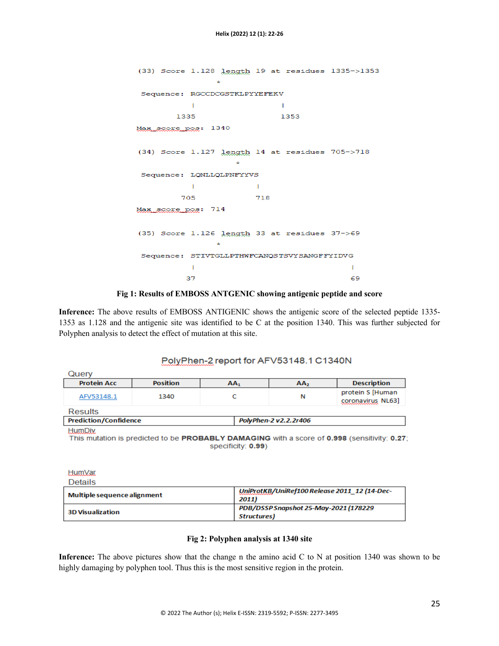```
(33) Score 1.128 length 19 at residues 1335->1353
                   ä.
 Sequence: RGCCDCGSTKLPYYEFEKV
             T.
                                  T.
         1335
                                  1353
Max score pos: 1340
(34) Score 1.127 length 14 at residues 705->718
                       \mathbf{A}Sequence: LQNLLQLPNFYYVS
             \mathbf{I}\mathbf{I}718
          705
Max score pos: 714
(35) Score 1.126 length 33 at residues 37->69
                   \mathbf{A}Sequence: STIVTGLLPTHWFCANQSTSVYSANGFFYIDVG
             T.
                                                   Ī.
           37
                                                   69
```
#### **Fig 1: Results of EMBOSS ANTGENIC showing antigenic peptide and score**

**Inference:** The above results of EMBOSS ANTIGENIC shows the antigenic score of the selected peptide 1335- 1353 as 1.128 and the antigenic site was identified to be C at the position 1340. This was further subjected for Polyphen analysis to detect the effect of mutation at this site.

# PolyPhen-2 report for AFV53148.1 C1340N

| <b>Protein Acc</b><br><b>Position</b><br>AA <sub>2</sub><br>AA1<br>1340<br>N<br>AFV53148.1<br><b>Results</b> | Query |  |  |  |                                       |  |  |  |
|--------------------------------------------------------------------------------------------------------------|-------|--|--|--|---------------------------------------|--|--|--|
|                                                                                                              |       |  |  |  | <b>Description</b>                    |  |  |  |
|                                                                                                              |       |  |  |  | protein S [Human<br>coronavirus NL63] |  |  |  |
|                                                                                                              |       |  |  |  |                                       |  |  |  |
| <b>Prediction/Confidence</b><br>PolyPhen-2 v2.2.2r406                                                        |       |  |  |  |                                       |  |  |  |

**HumDiv** 

This mutation is predicted to be PROBABLY DAMAGING with a score of 0.998 (sensitivity: 0.27; specificity: 0.99)

**HumVar Details** 

| Multiple sequence alignment | UniProtKB/UniRef100 Release 2011 12 (14-Dec-<br>2011) |
|-----------------------------|-------------------------------------------------------|
| <b>3D Visualization</b>     | PDB/DSSP Snapshot 25-May-2021 (178229<br>Structures)  |

#### **Fig 2: Polyphen analysis at 1340 site**

**Inference:** The above pictures show that the change n the amino acid C to N at position 1340 was shown to be highly damaging by polyphen tool. Thus this is the most sensitive region in the protein.